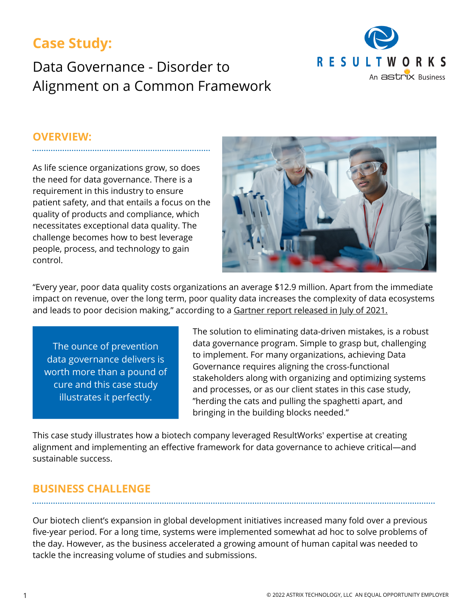## **Case Study:**

# Data Governance - Disorder to Alignment on a Common Framework



#### **OVERVIEW:**

As life science organizations grow, so does the need for data governance. There is a requirement in this industry to ensure patient safety, and that entails a focus on the quality of products and compliance, which necessitates exceptional data quality. The challenge becomes how to best leverage people, process, and technology to gain control.



"Every year, poor data quality costs organizations an average \$12.9 million. Apart from the immediate impact on revenue, over the long term, poor quality data increases the complexity of data ecosystems and leads to poor decision making," according to a Gartner report [released](https://www.gartner.com/smarterwithgartner/how-to-improve-your-data-quality) in July of 2021.

The ounce of prevention data governance delivers is worth more than a pound of cure and this case study illustrates it perfectly.

The solution to eliminating data-driven mistakes, is a robust data governance program. Simple to grasp but, challenging to implement. For many organizations, achieving Data Governance requires aligning the cross-functional stakeholders along with organizing and optimizing systems and processes, or as our client states in this case study, "herding the cats and pulling the spaghetti apart, and bringing in the building blocks needed."

This case study illustrates how a biotech company leveraged ResultWorks' expertise at creating alignment and implementing an effective framework for data governance to achieve critical—and sustainable success.

#### **BUSINESS CHALLENGE**

Our biotech client's expansion in global development initiatives increased many fold over a previous five-year period. For a long time, systems were implemented somewhat ad hoc to solve problems of the day. However, as the business accelerated a growing amount of human capital was needed to tackle the increasing volume of studies and submissions.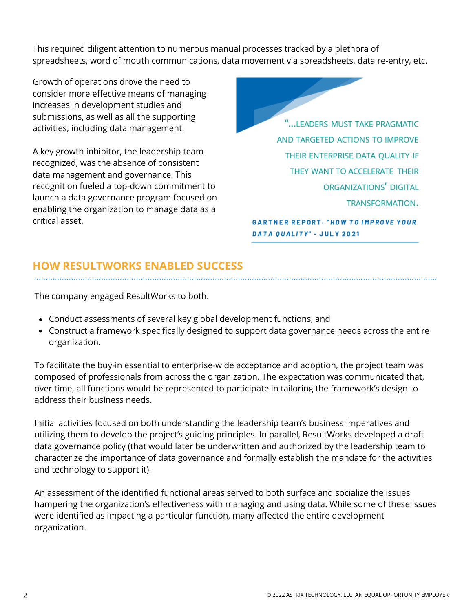This required diligent attention to numerous manual processes tracked by a plethora of spreadsheets, word of mouth communications, data movement via spreadsheets, data re-entry, etc.

Growth of operations drove the need to consider more effective means of managing increases in development studies and submissions, as well as all the supporting activities, including data management.

A key growth inhibitor, the leadership team recognized, was the absence of consistent data management and governance. This recognition fueled a top-down commitment to launch a data governance program focused on enabling the organization to manage data as a critical asset.

"... LEADERS MUST TAKE PRAGMATIC AND TARGETED ACTIONS TO IMPROVE THEIR ENTERPRISE DATA QUALITY IF THEY WANT TO ACCELERATE THEIR ORGANIZATIONS' DIGITAL **TRANSFORMATION.** 

**GARTNER REPORT: "HOW TO IMPROVE YOUR** DATA QUALITY" - JULY 2021

#### **HOW RESULTWORKS ENABLED SUCCESS**

The company engaged ResultWorks to both:

- Conduct assessments of several key global development functions, and
- Construct a framework specifically designed to support data governance needs across the entire organization.

To facilitate the buy-in essential to enterprise-wide acceptance and adoption, the project team was composed of professionals from across the organization. The expectation was communicated that, over time, all functions would be represented to participate in tailoring the framework's design to address their business needs.

Initial activities focused on both understanding the leadership team's business imperatives and utilizing them to develop the project's guiding principles. In parallel, ResultWorks developed a draft data governance policy (that would later be underwritten and authorized by the leadership team to characterize the importance of data governance and formally establish the mandate for the activities and technology to support it).

An assessment of the identified functional areas served to both surface and socialize the issues hampering the organization's effectiveness with managing and using data. While some of these issues were identified as impacting a particular function, many affected the entire development organization.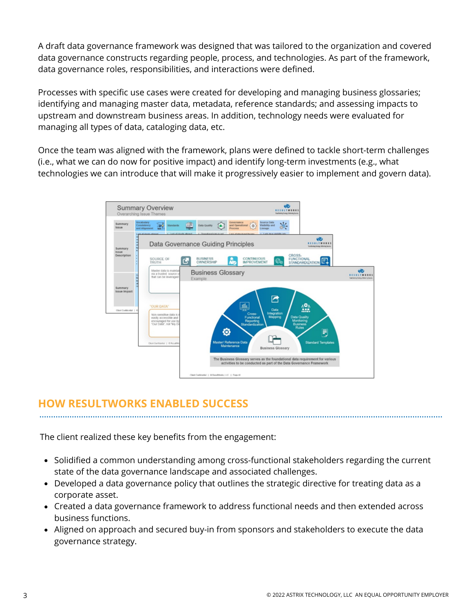A draft data governance framework was designed that was tailored to the organization and covered data governance constructs regarding people, process, and technologies. As part of the framework, data governance roles, responsibilities, and interactions were defined.

Processes with specific use cases were created for developing and managing business glossaries; identifying and managing master data, metadata, reference standards; and assessing impacts to upstream and downstream business areas. In addition, technology needs were evaluated for managing all types of data, cataloging data, etc.

Once the team was aligned with the framework, plans were defined to tackle short-term challenges (i.e., what we can do now for positive impact) and identify long-term investments (e.g., what technologies we can introduce that will make it progressively easier to implement and govern data).



### **HOW RESULTWORKS ENABLED SUCCESS**

The client realized these key benefits from the engagement:

- Solidified a common understanding among cross-functional stakeholders regarding the current state of the data governance landscape and associated challenges.
- Developed a data governance policy that outlines the strategic directive for treating data as a corporate asset.
- Created a data governance framework to address functional needs and then extended across business functions.
- Aligned on approach and secured buy-in from sponsors and stakeholders to execute the data governance strategy.